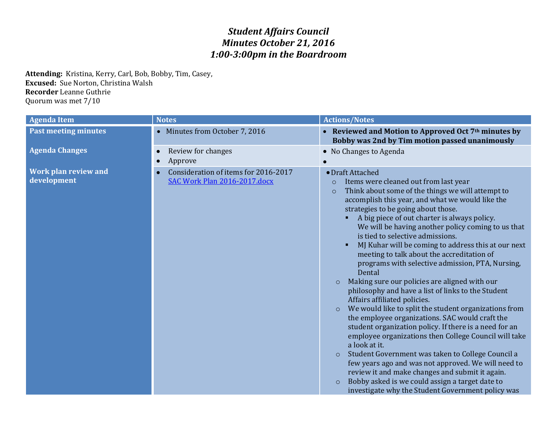## *Student Affairs Council Minutes October 21, 2016 1:00-3:00pm in the Boardroom*

**Attending:** Kristina, Kerry, Carl, Bob, Bobby, Tim, Casey, **Excused:** Sue Norton, Christina Walsh **Recorder** Leanne Guthrie Quorum was met 7/10

| <b>Agenda Item</b>                         | <b>Notes</b>                                                         | <b>Actions/Notes</b>                                                                                                                                                                                                                                                                                                                                                                                                                                                                                                                                                                                                                                                                                                                                                                                                                                                                                                                                                                                                                                                                                                                                                                                                                                   |
|--------------------------------------------|----------------------------------------------------------------------|--------------------------------------------------------------------------------------------------------------------------------------------------------------------------------------------------------------------------------------------------------------------------------------------------------------------------------------------------------------------------------------------------------------------------------------------------------------------------------------------------------------------------------------------------------------------------------------------------------------------------------------------------------------------------------------------------------------------------------------------------------------------------------------------------------------------------------------------------------------------------------------------------------------------------------------------------------------------------------------------------------------------------------------------------------------------------------------------------------------------------------------------------------------------------------------------------------------------------------------------------------|
| <b>Past meeting minutes</b>                | • Minutes from October 7, 2016                                       | • Reviewed and Motion to Approved Oct 7 <sup>th</sup> minutes by<br>Bobby was 2nd by Tim motion passed unanimously                                                                                                                                                                                                                                                                                                                                                                                                                                                                                                                                                                                                                                                                                                                                                                                                                                                                                                                                                                                                                                                                                                                                     |
| <b>Agenda Changes</b>                      | Review for changes<br>Approve                                        | • No Changes to Agenda                                                                                                                                                                                                                                                                                                                                                                                                                                                                                                                                                                                                                                                                                                                                                                                                                                                                                                                                                                                                                                                                                                                                                                                                                                 |
| <b>Work plan review and</b><br>development | Consideration of items for 2016-2017<br>SAC Work Plan 2016-2017.docx | · Draft Attached<br>Items were cleaned out from last year<br>$\circ$<br>Think about some of the things we will attempt to<br>$\circ$<br>accomplish this year, and what we would like the<br>strategies to be going about those.<br>A big piece of out charter is always policy.<br>We will be having another policy coming to us that<br>is tied to selective admissions.<br>MJ Kuhar will be coming to address this at our next<br>meeting to talk about the accreditation of<br>programs with selective admission, PTA, Nursing,<br>Dental<br>Making sure our policies are aligned with our<br>$\circ$<br>philosophy and have a list of links to the Student<br>Affairs affiliated policies.<br>We would like to split the student organizations from<br>$\circ$<br>the employee organizations. SAC would craft the<br>student organization policy. If there is a need for an<br>employee organizations then College Council will take<br>a look at it.<br>Student Government was taken to College Council a<br>$\circ$<br>few years ago and was not approved. We will need to<br>review it and make changes and submit it again.<br>Bobby asked is we could assign a target date to<br>$\circ$<br>investigate why the Student Government policy was |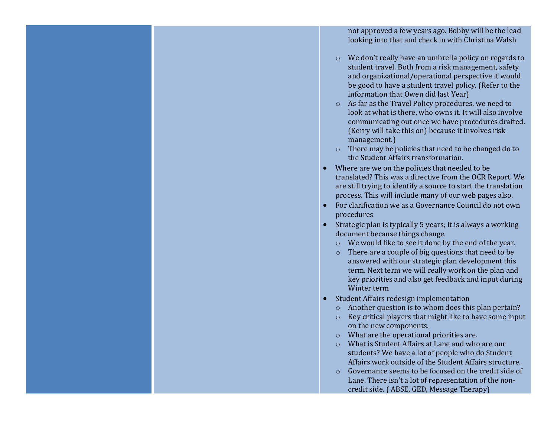not approved a few years ago. Bobby will be the lead looking into that and check in with Christina Walsh

- o We don't really have an umbrella policy on regards to student travel. Both from a risk management, safety and organizational/operational perspective it would be good to have a student travel policy. (Refer to the information that Owen did last Year)
- o As far as the Travel Policy procedures, we need to look at what is there, who owns it. It will also involve communicating out once we have procedures drafted. (Kerry will take this on) because it involves risk management.)
- o There may be policies that need to be changed do to the Student Affairs transformation.
- Where are we on the policies that needed to be translated? This was a directive from the OCR Report. We are still trying to identify a source to start the translation process. This will include many of our web pages also.
- For clarification we as a Governance Council do not own procedures
- Strategic plan is typically 5 years; it is always a working document because things change.
	- o We would like to see it done by the end of the year.
	- o There are a couple of big questions that need to be answered with our strategic plan development this term. Next term we will really work on the plan and key priorities and also get feedback and input during Winter term
- Student Affairs redesign implementation
	- o Another question is to whom does this plan pertain?
	- o Key critical players that might like to have some input on the new components.
	- o What are the operational priorities are.
	- o What is Student Affairs at Lane and who are our students? We have a lot of people who do Student Affairs work outside of the Student Affairs structure.
	- o Governance seems to be focused on the credit side of Lane. There isn't a lot of representation of the noncredit side. ( ABSE, GED, Message Therapy)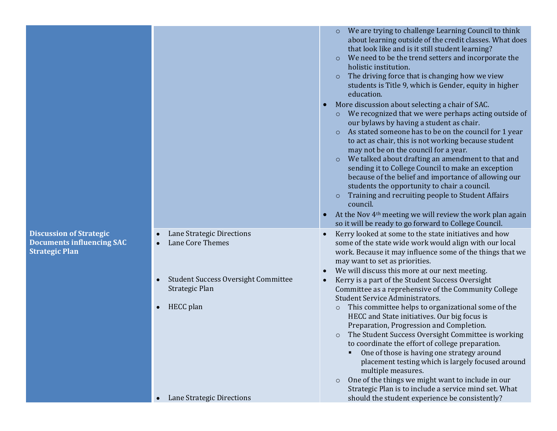|                                                                                             |                                                              | We are trying to challenge Learning Council to think<br>about learning outside of the credit classes. What does<br>that look like and is it still student learning?<br>We need to be the trend setters and incorporate the<br>$\circ$<br>holistic institution.<br>The driving force that is changing how we view<br>$\circ$<br>students is Title 9, which is Gender, equity in higher<br>education.<br>More discussion about selecting a chair of SAC.<br>$\bullet$<br>We recognized that we were perhaps acting outside of<br>$\circ$<br>our bylaws by having a student as chair.<br>As stated someone has to be on the council for 1 year<br>$\circ$<br>to act as chair, this is not working because student<br>may not be on the council for a year.<br>We talked about drafting an amendment to that and<br>$\circ$<br>sending it to College Council to make an exception<br>because of the belief and importance of allowing our<br>students the opportunity to chair a council.<br>Training and recruiting people to Student Affairs<br>council.<br>At the Nov 4 <sup>th</sup> meeting we will review the work plan again<br>so it will be ready to go forward to College Council. |
|---------------------------------------------------------------------------------------------|--------------------------------------------------------------|------------------------------------------------------------------------------------------------------------------------------------------------------------------------------------------------------------------------------------------------------------------------------------------------------------------------------------------------------------------------------------------------------------------------------------------------------------------------------------------------------------------------------------------------------------------------------------------------------------------------------------------------------------------------------------------------------------------------------------------------------------------------------------------------------------------------------------------------------------------------------------------------------------------------------------------------------------------------------------------------------------------------------------------------------------------------------------------------------------------------------------------------------------------------------------------|
| <b>Discussion of Strategic</b><br><b>Documents influencing SAC</b><br><b>Strategic Plan</b> | Lane Strategic Directions<br>Lane Core Themes                | Kerry looked at some to the state initiatives and how<br>some of the state wide work would align with our local<br>work. Because it may influence some of the things that we<br>may want to set as priorities.<br>We will discuss this more at our next meeting.                                                                                                                                                                                                                                                                                                                                                                                                                                                                                                                                                                                                                                                                                                                                                                                                                                                                                                                         |
|                                                                                             | <b>Student Success Oversight Committee</b><br>Strategic Plan | Kerry is a part of the Student Success Oversight<br>Committee as a reprehensive of the Community College<br><b>Student Service Administrators.</b>                                                                                                                                                                                                                                                                                                                                                                                                                                                                                                                                                                                                                                                                                                                                                                                                                                                                                                                                                                                                                                       |
|                                                                                             | HECC plan                                                    | This committee helps to organizational some of the<br>$\circ$<br>HECC and State initiatives. Our big focus is<br>Preparation, Progression and Completion.<br>The Student Success Oversight Committee is working<br>to coordinate the effort of college preparation.<br>One of those is having one strategy around<br>placement testing which is largely focused around<br>multiple measures.<br>One of the things we might want to include in our<br>$\circ$<br>Strategic Plan is to include a service mind set. What                                                                                                                                                                                                                                                                                                                                                                                                                                                                                                                                                                                                                                                                    |
|                                                                                             | Lane Strategic Directions                                    | should the student experience be consistently?                                                                                                                                                                                                                                                                                                                                                                                                                                                                                                                                                                                                                                                                                                                                                                                                                                                                                                                                                                                                                                                                                                                                           |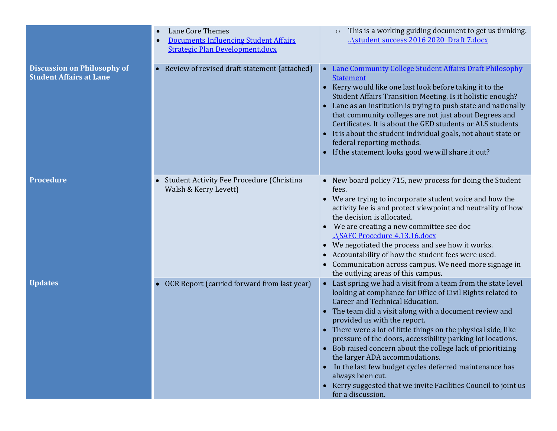|                                                                      | Lane Core Themes<br><b>Documents Influencing Student Affairs</b><br><b>Strategic Plan Development.docx</b> | This is a working guiding document to get us thinking.<br>$\circ$<br>\student success 2016 2020 Draft 7.docx                                                                                                                                                                                                                                                                                                                                                                                                                                                                                                                                                                             |
|----------------------------------------------------------------------|------------------------------------------------------------------------------------------------------------|------------------------------------------------------------------------------------------------------------------------------------------------------------------------------------------------------------------------------------------------------------------------------------------------------------------------------------------------------------------------------------------------------------------------------------------------------------------------------------------------------------------------------------------------------------------------------------------------------------------------------------------------------------------------------------------|
| <b>Discussion on Philosophy of</b><br><b>Student Affairs at Lane</b> | Review of revised draft statement (attached)                                                               | <b>Lane Community College Student Affairs Draft Philosophy</b><br>$\bullet$<br><b>Statement</b><br>• Kerry would like one last look before taking it to the<br>Student Affairs Transition Meeting. Is it holistic enough?<br>Lane as an institution is trying to push state and nationally<br>$\bullet$<br>that community colleges are not just about Degrees and<br>Certificates. It is about the GED students or ALS students<br>• It is about the student individual goals, not about state or<br>federal reporting methods.<br>If the statement looks good we will share it out?                                                                                                     |
| <b>Procedure</b>                                                     | Student Activity Fee Procedure (Christina<br>Walsh & Kerry Levett)                                         | • New board policy 715, new process for doing the Student<br>fees.<br>• We are trying to incorporate student voice and how the<br>activity fee is and protect viewpoint and neutrality of how<br>the decision is allocated.<br>We are creating a new committee see doc<br>\SAFC Procedure 4.13.16.docx<br>• We negotiated the process and see how it works.<br>Accountability of how the student fees were used.<br>$\bullet$<br>Communication across campus. We need more signage in<br>the outlying areas of this campus.                                                                                                                                                              |
| <b>Updates</b>                                                       | OCR Report (carried forward from last year)                                                                | Last spring we had a visit from a team from the state level<br>$\bullet$<br>looking at compliance for Office of Civil Rights related to<br>Career and Technical Education.<br>The team did a visit along with a document review and<br>provided us with the report.<br>• There were a lot of little things on the physical side, like<br>pressure of the doors, accessibility parking lot locations.<br>• Bob raised concern about the college lack of prioritizing<br>the larger ADA accommodations.<br>In the last few budget cycles deferred maintenance has<br>$\bullet$<br>always been cut.<br>• Kerry suggested that we invite Facilities Council to joint us<br>for a discussion. |